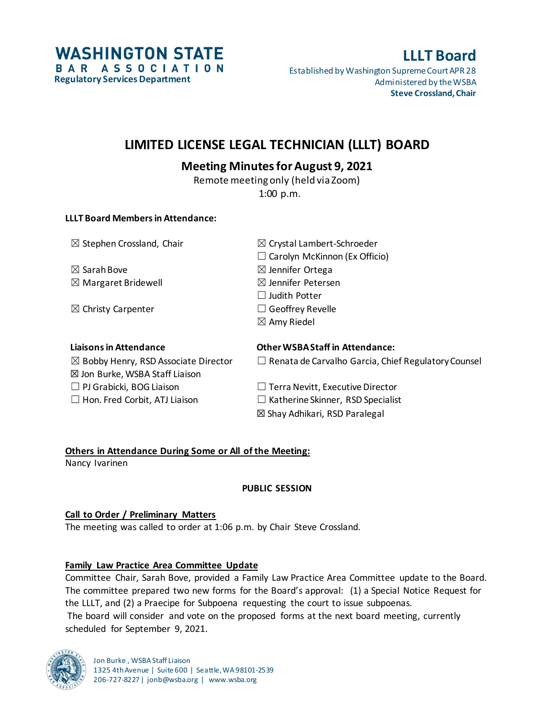**WASHINGTON STATE** BAR ASSOCIATION **Regulatory Services Department**

# **LLLT Board**

Established by Washington Supreme Court APR 28 Administered by the WSBA **Steve Crossland, Chair**

## **LIMITED LICENSE LEGAL TECHNICIAN (LLLT) BOARD**

## **Meeting Minutes for August 9, 2021**

Remote meeting only (held via Zoom) 1:00 p.m.

### **LLLT Board Members in Attendance:**

 $\boxtimes$  Sarah Bove  $\boxtimes$  Jennifer Ortega

☒ Christy Carpenter ☐ Geoffrey Revelle

 $\boxtimes$  Stephen Crossland, Chair  $\boxtimes$  Crystal Lambert-Schroeder  $\Box$  Carolyn McKinnon (Ex Officio)  $\boxtimes$  Margaret Bridewell  $\boxtimes$  Jennifer Petersen ☐ Judith Potter  $\boxtimes$  Amy Riedel

| <b>Liaisons in Attendance</b>                   | <b>Other WSBA Staff in Attendance:</b>                     |
|-------------------------------------------------|------------------------------------------------------------|
| $\boxtimes$ Bobby Henry, RSD Associate Director | $\Box$ Renata de Carvalho Garcia, Chief Regulatory Counsel |
| ⊠ Jon Burke, WSBA Staff Liaison                 |                                                            |
| $\Box$ PJ Grabicki, BOG Liaison                 | $\Box$ Terra Nevitt, Executive Director                    |
| $\Box$ Hon. Fred Corbit, ATJ Liaison            | $\Box$ Katherine Skinner, RSD Specialist                   |
|                                                 | ⊠ Shay Adhikari, RSD Paralegal                             |

## **Others in Attendance During Some or All of the Meeting:**

Nancy Ivarinen

## **PUBLIC SESSION**

## **Call to Order / Preliminary Matters**

The meeting was called to order at 1:06 p.m. by Chair Steve Crossland.

## **Family Law Practice Area Committee Update**

Committee Chair, Sarah Bove, provided a Family Law Practice Area Committee update to the Board. The committee prepared two new forms for the Board's approval: (1) a Special Notice Request for the LLLT, and (2) a Praecipe for Subpoena requesting the court to issue subpoenas. The board will consider and vote on the proposed forms at the next board meeting, currently scheduled for September 9, 2021.